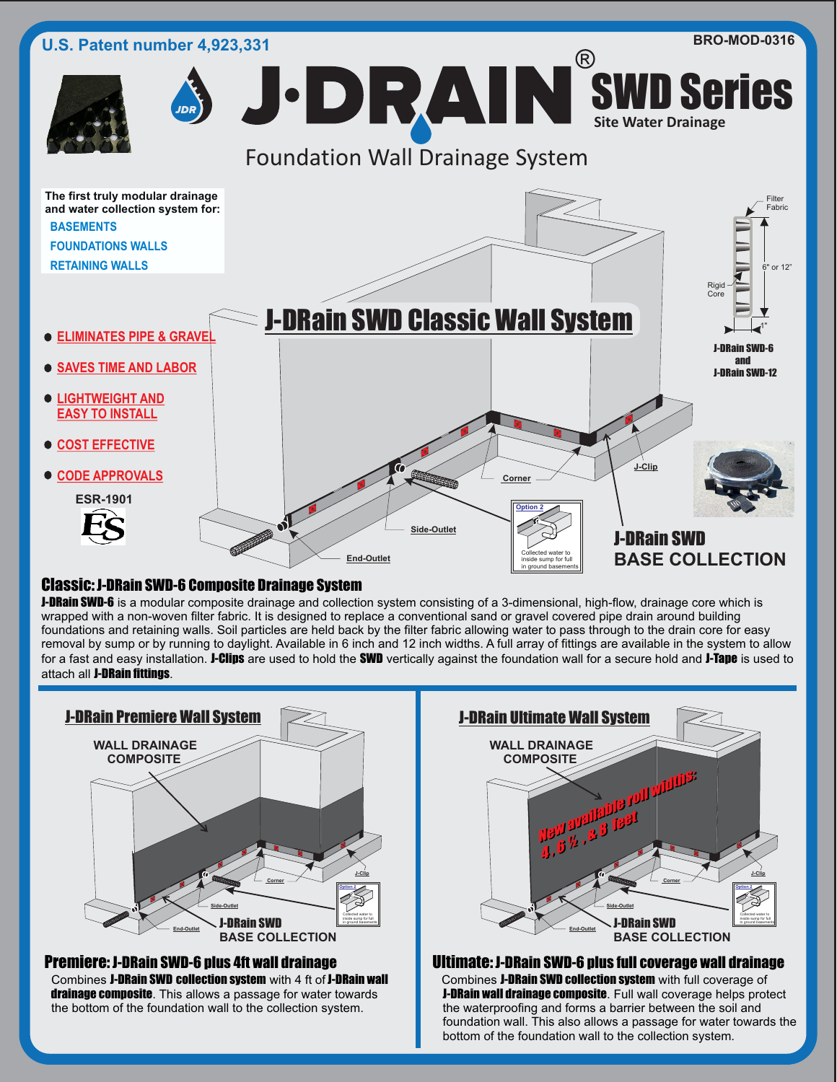

### Classic:J-DRain SWD-6 Composite Drainage System

**J-DRain SWD-6** is a modular composite drainage and collection system consisting of a 3-dimensional, high-flow, drainage core which is wrapped with a non-woven filter fabric. It is designed to replace a conventional sand or gravel covered pipe drain around building foundations and retaining walls. Soil particles are held back by the filter fabric allowing water to pass through to the drain core for easy removal by sump or by running to daylight. Available in 6 inch and 12 inch widths. A full array of fittings are available in the system to allow for a fast and easy installation. **J-Clips** are used to hold the SWD vertically against the foundation wall for a secure hold and **J-Tape** is used to attach all **J-DRain fittings**.



# Premiere:J-DRain SWD-6 plus 4ft wall drainage

Combines J-DRain SWD collection system with 4 ft of J-DRain wall drainage composite. This allows a passage for water towards the bottom of the foundation wall to the collection system.



#### Ultimate:J-DRain SWD-6 plus full coverage wall drainage

Combines J-DRain SWD collection system with full coverage of **J-DRain wall drainage composite**. Full wall coverage helps protect the waterproofing and forms a barrier between the soil and foundation wall. This also allows a passage for water towards the bottom of the foundation wall to the collection system.